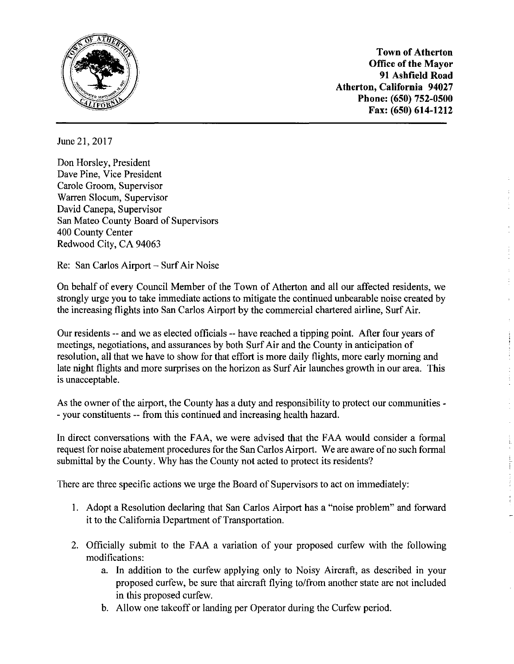

**Town of Atherton Office of the Mayor 91 Ashfield Road Atherton, California 94027 Phone: (650) 752-0500 Fax: (650) 614-1212** 

June 21, 2017

Don Horsley, President Dave Pine, Vice President Carole Groom, Supervisor Warren Slocum, Supervisor David Canepa, Supervisor San Mateo County Board of Supervisors 400 County Center Redwood City, CA 94063

Re: San Carlos Airport - Surf Air Noise

On behalf of every Council Member of the Town of Atherton and all our affected residents, we strongly urge you to take immediate actions to mitigate the continued unbearable noise created by the increasing flights into San Carlos Airport by the commercial chartered airline, Surf Air.

Our residents -- and we as elected officials -- have reached a tipping point. After four years of meetings, negotiations, and assurances by both Surf Air and the County in anticipation of resolution, all that we have to show for that effort is more daily flights, more early morning and late night flights and more surprises on the horizon as Surf Air launches growth in our area. This is unacceptable.

As the owner of the airport, the County has a duty and responsibility to protect our communities - - your constituents -- from this continued and increasing health hazard.

In direct conversations with the FAA, we were advised that the FAA would consider a formal request for noise abatement procedures for the San Carlos Airport. We are aware of no such formal submittal by the County. Why has the County not acted to protect its residents?

There are three specific actions we urge the Board of Supervisors to act on immediately:

- I. Adopt a Resolution declaring that San Carlos Airport has a "noise problem" and forward it to the California Department of Transportation.
- 2. Officially submit to the FAA a variation of your proposed curfew with the following modifications:
	- a. In addition to the curfew applying only to Noisy Aircraft, as described in your proposed curfew, be sure that aircraft flying to/from another state are not included in this proposed curfew.
	- b. Allow one takeoff or landing per Operator during the Curfew period.